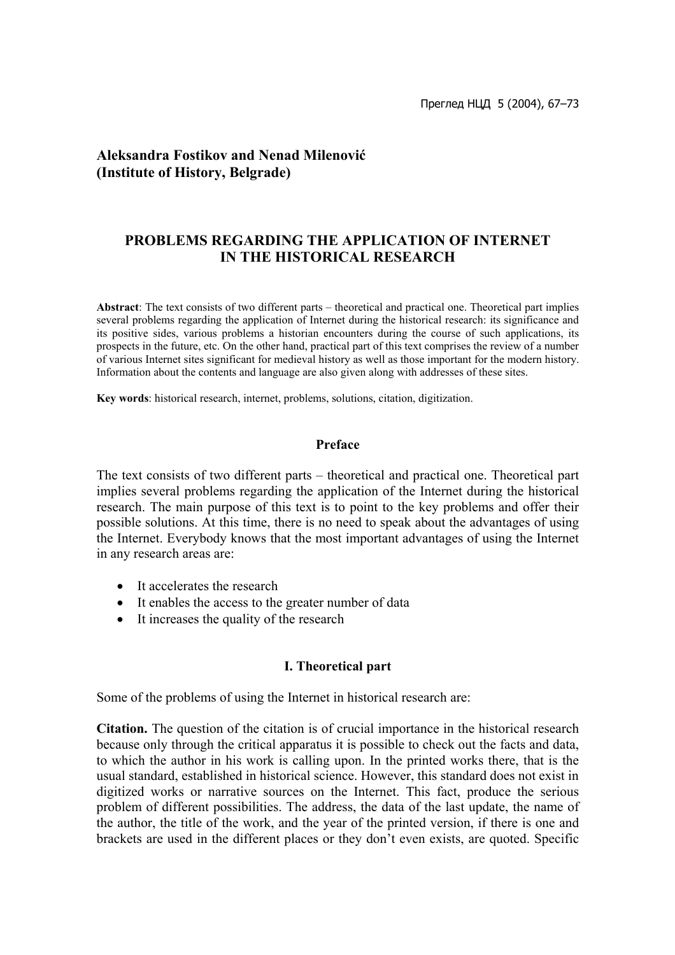# **Aleksandra Fostikov and Nenad Milenović (Institute of History, Belgrade)**

# **PROBLEMS REGARDING THE APPLICATION OF INTERNET IN THE HISTORICAL RESEARCH**

**Abstract**: The text consists of two different parts – theoretical and practical one. Theoretical part implies several problems regarding the application of Internet during the historical research: its significance and its positive sides, various problems a historian encounters during the course of such applications, its prospects in the future, etc. On the other hand, practical part of this text comprises the review of a number of various Internet sites significant for medieval history as well as those important for the modern history. Information about the contents and language are also given along with addresses of these sites.

**Key words**: historical research, internet, problems, solutions, citation, digitization.

#### **Preface**

The text consists of two different parts – theoretical and practical one. Theoretical part implies several problems regarding the application of the Internet during the historical research. The main purpose of this text is to point to the key problems and offer their possible solutions. At this time, there is no need to speak about the advantages of using the Internet. Everybody knows that the most important advantages of using the Internet in any research areas are:

- It accelerates the research
- It enables the access to the greater number of data
- It increases the quality of the research

#### **I. Theoretical part**

Some of the problems of using the Internet in historical research are:

**Citation.** The question of the citation is of crucial importance in the historical research because only through the critical apparatus it is possible to check out the facts and data, to which the author in his work is calling upon. In the printed works there, that is the usual standard, established in historical science. However, this standard does not exist in digitized works or narrative sources on the Internet. This fact, produce the serious problem of different possibilities. The address, the data of the last update, the name of the author, the title of the work, and the year of the printed version, if there is one and brackets are used in the different places or they don't even exists, are quoted. Specific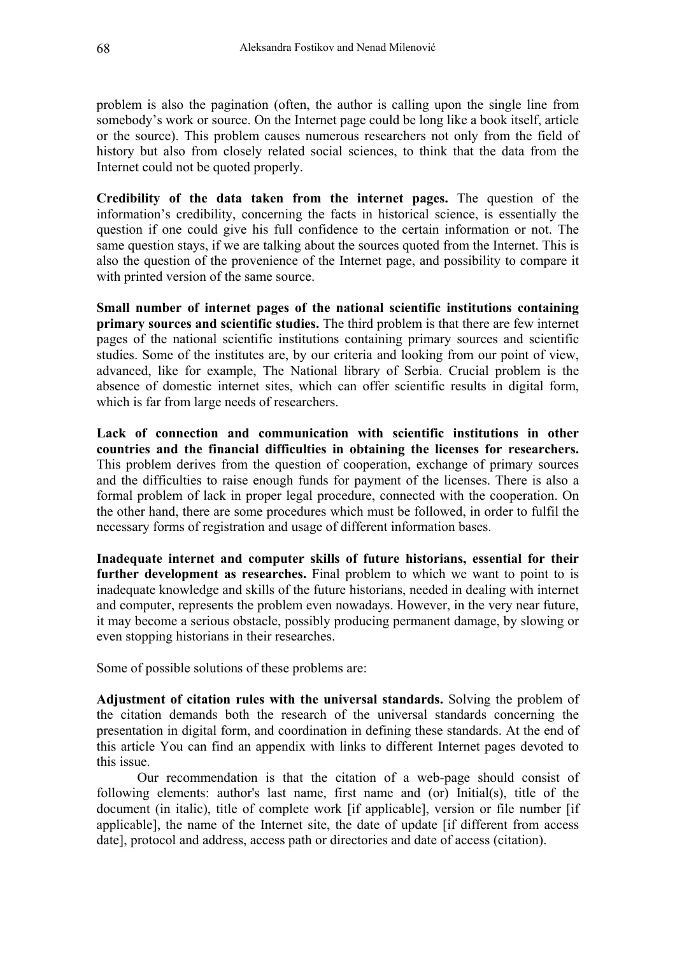problem is also the pagination (often, the author is calling upon the single line from somebody's work or source. On the Internet page could be long like a book itself, article or the source). This problem causes numerous researchers not only from the field of history but also from closely related social sciences, to think that the data from the Internet could not be quoted properly.

**Credibility of the data taken from the internet pages.** The question of the information's credibility, concerning the facts in historical science, is essentially the question if one could give his full confidence to the certain information or not. The same question stays, if we are talking about the sources quoted from the Internet. This is also the question of the provenience of the Internet page, and possibility to compare it with printed version of the same source.

**Small number of internet pages of the national scientific institutions containing primary sources and scientific studies.** The third problem is that there are few internet pages of the national scientific institutions containing primary sources and scientific studies. Some of the institutes are, by our criteria and looking from our point of view, advanced, like for example, The National library of Serbia. Crucial problem is the absence of domestic internet sites, which can offer scientific results in digital form, which is far from large needs of researchers.

**Lack of connection and communication with scientific institutions in other countries and the financial difficulties in obtaining the licenses for researchers.**  This problem derives from the question of cooperation, exchange of primary sources and the difficulties to raise enough funds for payment of the licenses. There is also a formal problem of lack in proper legal procedure, connected with the cooperation. On the other hand, there are some procedures which must be followed, in order to fulfil the necessary forms of registration and usage of different information bases.

**Inadequate internet and computer skills of future historians, essential for their further development as researches.** Final problem to which we want to point to is inadequate knowledge and skills of the future historians, needed in dealing with internet and computer, represents the problem even nowadays. However, in the very near future, it may become a serious obstacle, possibly producing permanent damage, by slowing or even stopping historians in their researches.

Some of possible solutions of these problems are:

**Adjustment of citation rules with the universal standards.** Solving the problem of the citation demands both the research of the universal standards concerning the presentation in digital form, and coordination in defining these standards. At the end of this article You can find an appendix with links to different Internet pages devoted to this issue.

Our recommendation is that the citation of a web-page should consist of following elements: author's last name, first name and (or) Initial(s), title of the document (in italic), title of complete work [if applicable], version or file number [if applicable], the name of the Internet site, the date of update [if different from access date], protocol and address, access path or directories and date of access (citation).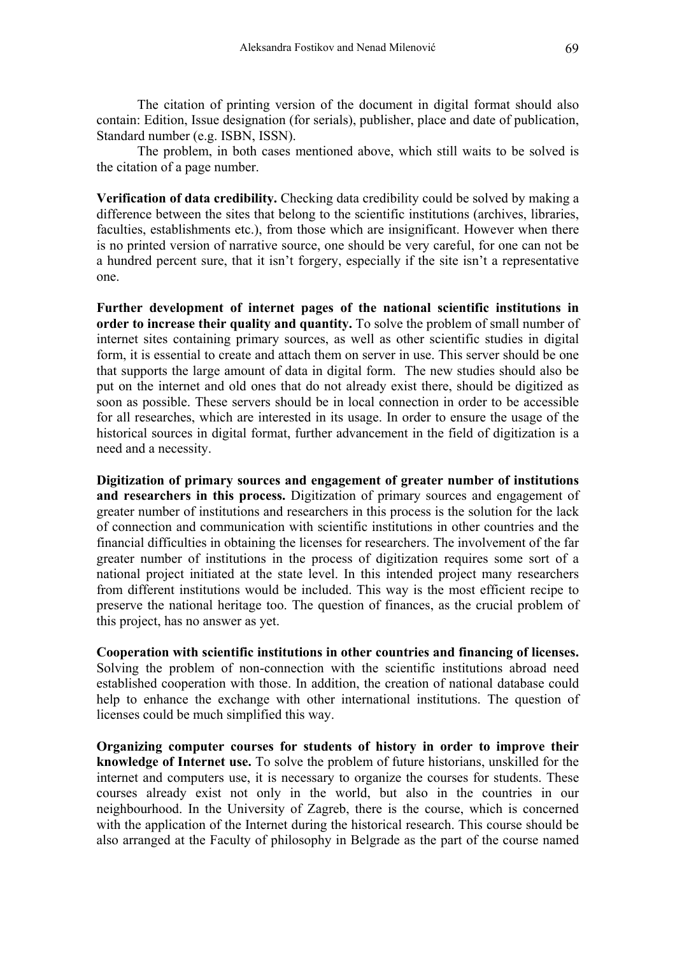The citation of printing version of the document in digital format should also contain: Edition, Issue designation (for serials), publisher, place and date of publication, Standard number (e.g. ISBN, ISSN).

The problem, in both cases mentioned above, which still waits to be solved is the citation of a page number.

**Verification of data credibility.** Checking data credibility could be solved by making a difference between the sites that belong to the scientific institutions (archives, libraries, faculties, establishments etc.), from those which are insignificant. However when there is no printed version of narrative source, one should be very careful, for one can not be a hundred percent sure, that it isn't forgery, especially if the site isn't a representative one.

**Further development of internet pages of the national scientific institutions in order to increase their quality and quantity.** To solve the problem of small number of internet sites containing primary sources, as well as other scientific studies in digital form, it is essential to create and attach them on server in use. This server should be one that supports the large amount of data in digital form. The new studies should also be put on the internet and old ones that do not already exist there, should be digitized as soon as possible. These servers should be in local connection in order to be accessible for all researches, which are interested in its usage. In order to ensure the usage of the historical sources in digital format, further advancement in the field of digitization is a need and a necessity.

**Digitization of primary sources and engagement of greater number of institutions and researchers in this process.** Digitization of primary sources and engagement of greater number of institutions and researchers in this process is the solution for the lack of connection and communication with scientific institutions in other countries and the financial difficulties in obtaining the licenses for researchers. The involvement of the far greater number of institutions in the process of digitization requires some sort of a national project initiated at the state level. In this intended project many researchers from different institutions would be included. This way is the most efficient recipe to preserve the national heritage too. The question of finances, as the crucial problem of this project, has no answer as yet.

**Cooperation with scientific institutions in other countries and financing of licenses.**  Solving the problem of non-connection with the scientific institutions abroad need established cooperation with those. In addition, the creation of national database could help to enhance the exchange with other international institutions. The question of licenses could be much simplified this way.

**Organizing computer courses for students of history in order to improve their knowledge of Internet use.** To solve the problem of future historians, unskilled for the internet and computers use, it is necessary to organize the courses for students. These courses already exist not only in the world, but also in the countries in our neighbourhood. In the University of Zagreb, there is the course, which is concerned with the application of the Internet during the historical research. This course should be also arranged at the Faculty of philosophy in Belgrade as the part of the course named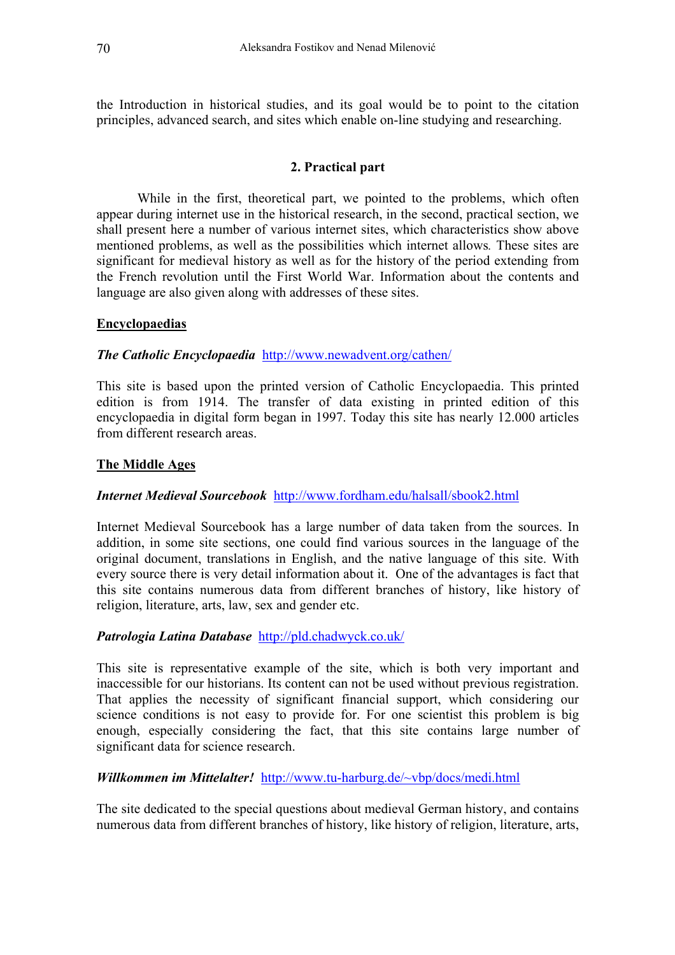the Introduction in historical studies, and its goal would be to point to the citation principles, advanced search, and sites which enable on-line studying and researching.

### **2. Practical part**

While in the first, theoretical part, we pointed to the problems, which often appear during internet use in the historical research, in the second, practical section, we shall present here a number of various internet sites, which characteristics show above mentioned problems, as well as the possibilities which internet allows*.* These sites are significant for medieval history as well as for the history of the period extending from the French revolution until the First World War. Information about the contents and language are also given along with addresses of these sites.

### **Encyclopaedias**

#### *The Catholic Encyclopaedia* <http://www.newadvent.org/cathen/>

This site is based upon the printed version of Catholic Encyclopaedia. This printed edition is from 1914. The transfer of data existing in printed edition of this encyclopaedia in digital form began in 1997. Today this site has nearly 12.000 articles from different research areas.

### **The Middle Ages**

#### *Internet Medieval Sourcebook* <http://www.fordham.edu/halsall/sbook2.html>

Internet Medieval Sourcebook has a large number of data taken from the sources. In addition, in some site sections, one could find various sources in the language of the original document, translations in English, and the native language of this site. With every source there is very detail information about it. One of the advantages is fact that this site contains numerous data from different branches of history, like history of religion, literature, arts, law, sex and gender etc.

## *Patrologia Latina Database* <http://pld.chadwyck.co.uk/>

This site is representative example of the site, which is both very important and inaccessible for our historians. Its content can not be used without previous registration. That applies the necessity of significant financial support, which considering our science conditions is not easy to provide for. For one scientist this problem is big enough, especially considering the fact, that this site contains large number of significant data for science research.

#### *Willkommen im Mittelalter!* <http://www.tu-harburg.de/~vbp/docs/medi.html>

The site dedicated to the special questions about medieval German history, and contains numerous data from different branches of history, like history of religion, literature, arts,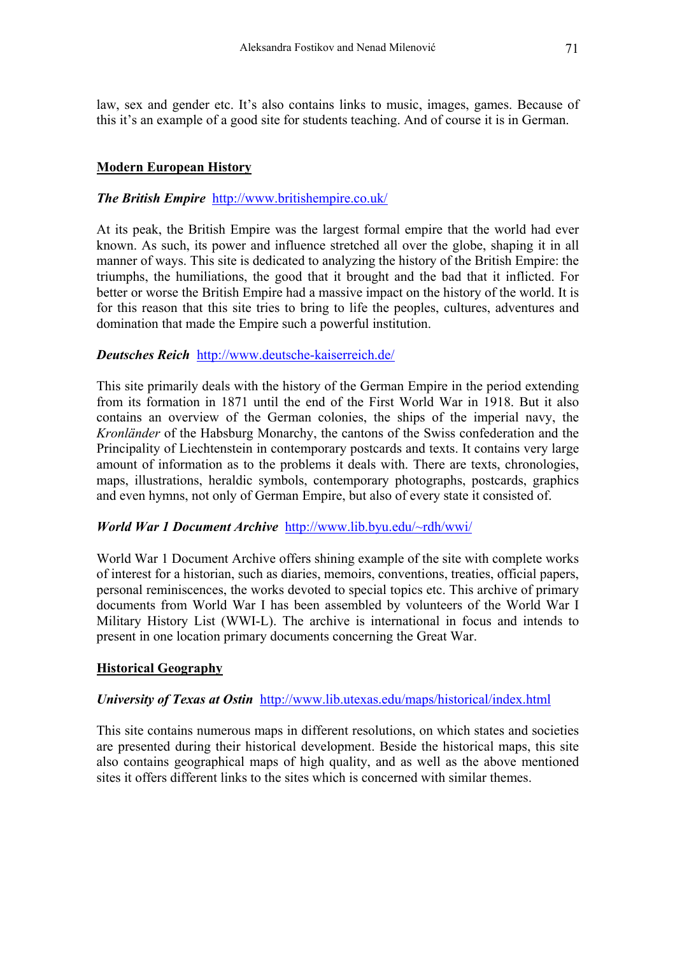law, sex and gender etc. It's also contains links to music, images, games. Because of this it's an example of a good site for students teaching. And of course it is in German.

### **Modern European History**

### *The British Empire* <http://www.britishempire.co.uk/>

At its peak, the British Empire was the largest formal empire that the world had ever known. As such, its power and influence stretched all over the globe, shaping it in all manner of ways. This site is dedicated to analyzing the history of the British Empire: the triumphs, the humiliations, the good that it brought and the bad that it inflicted. For better or worse the British Empire had a massive impact on the history of the world. It is for this reason that this site tries to bring to life the peoples, cultures, adventures and domination that made the Empire such a powerful institution.

#### *Deutsches Reich* <http://www.deutsche-kaiserreich.de/>

This site primarily deals with the history of the German Empire in the period extending from its formation in 1871 until the end of the First World War in 1918. But it also contains an overview of the German colonies, the ships of the imperial navy, the *Kronländer* of the Habsburg Monarchy, the cantons of the Swiss confederation and the Principality of Liechtenstein in contemporary postcards and texts. It contains very large amount of information as to the problems it deals with. There are texts, chronologies, maps, illustrations, heraldic symbols, contemporary photographs, postcards, graphics and even hymns, not only of German Empire, but also of every state it consisted of.

#### *World War 1 Document Archive* <http://www.lib.byu.edu/~rdh/wwi/>

World War 1 Document Archive offers shining example of the site with complete works of interest for a historian, such as diaries, memoirs, conventions, treaties, official papers, personal reminiscences, the works devoted to special topics etc. This archive of primary documents from World War I has been assembled by volunteers of the World War I Military History List (WWI-L). The archive is international in focus and intends to present in one location primary documents concerning the Great War.

#### **Historical Geography**

#### *University of Texas at Ostin* <http://www.lib.utexas.edu/maps/historical/index.html>

This site contains numerous maps in different resolutions, on which states and societies are presented during their historical development. Beside the historical maps, this site also contains geographical maps of high quality, and as well as the above mentioned sites it offers different links to the sites which is concerned with similar themes.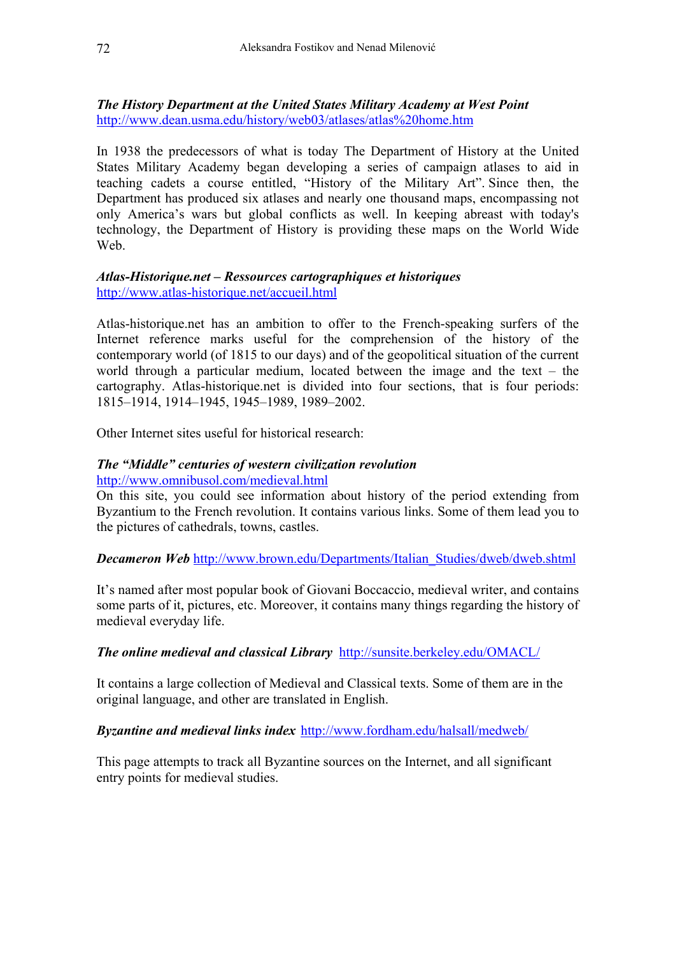*The History Department at the United States Military Academy at West Point* [http://www.dean.usma.edu/history/web03/atlases/atlas%20home.htm](http://www.dean.usma.edu/history/web03/atlases/atlas home.htm)

In 1938 the predecessors of what is today The Department of History at the United States Military Academy began developing a series of campaign atlases to aid in teaching cadets a course entitled, "History of the Military Art". Since then, the Department has produced six atlases and nearly one thousand maps, encompassing not only America's wars but global conflicts as well. In keeping abreast with today's technology, the Department of History is providing these maps on the World Wide We<sub>b</sub>

### *Atlas-Historique.net – Ressources cartographiques et historiques*  <http://www.atlas-historique.net/accueil.html>

Atlas-historique.net has an ambition to offer to the French-speaking surfers of the Internet reference marks useful for the comprehension of the history of the contemporary world (of 1815 to our days) and of the geopolitical situation of the current world through a particular medium, located between the image and the text – the cartography. Atlas-historique.net is divided into four sections, that is four periods: 1815–1914, 1914–1945, 1945–1989, 1989–2002.

Other Internet sites useful for historical research:

#### *The "Middle" centuries of western civilization revolution*  <http://www.omnibusol.com/medieval.html>

On this site, you could see information about history of the period extending from Byzantium to the French revolution. It contains various links. Some of them lead you to the pictures of cathedrals, towns, castles.

#### *Decameron Web* [http://www.brown.edu/Departments/Italian\\_Studies/dweb/dweb.shtml](http://www.brown.edu/Departments/Italian_Studies/dweb/dweb.shtml)

It's named after most popular book of Giovani Boccaccio, medieval writer, and contains some parts of it, pictures, etc. Moreover, it contains many things regarding the history of medieval everyday life.

## *The online medieval and classical Library* <http://sunsite.berkeley.edu/OMACL/>

It contains a large collection of Medieval and Classical texts. Some of them are in the original language, and other are translated in English.

## *Byzantine and medieval links index* <http://www.fordham.edu/halsall/medweb/>

This page attempts to track all Byzantine sources on the Internet, and all significant entry points for medieval studies.